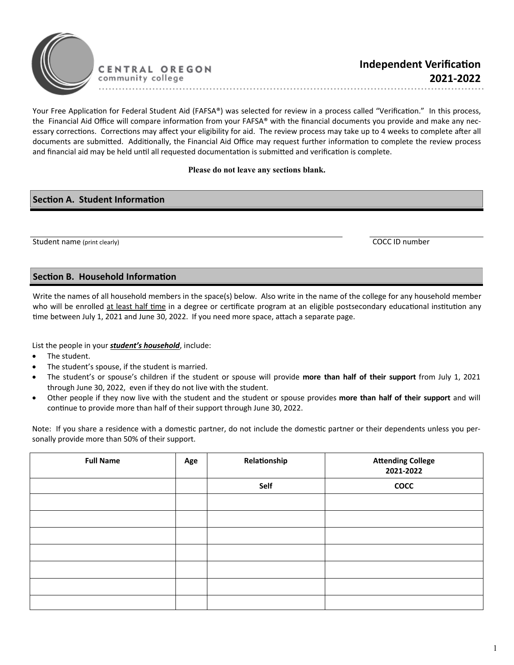

Your Free Application for Federal Student Aid (FAFSA®) was selected for review in a process called "Verification." In this process, the Financial Aid Office will compare information from your FAFSA® with the financial documents you provide and make any necessary corrections. Corrections may affect your eligibility for aid. The review process may take up to 4 weeks to complete after all documents are submitted. Additionally, the Financial Aid Office may request further information to complete the review process and financial aid may be held until all requested documentation is submitted and verification is complete.

## **Please do not leave any sections blank.**

## **Section A. Student Information**

Student name (print clearly) COCC ID number

## **Section B. Household Information**

Write the names of all household members in the space(s) below. Also write in the name of the college for any household member who will be enrolled at least half time in a degree or certificate program at an eligible postsecondary educational institution any time between July 1, 2021 and June 30, 2022. If you need more space, attach a separate page.

List the people in your *student's household*, include:

- The student.
- The student's spouse, if the student is married.
- The student's or spouse's children if the student or spouse will provide **more than half of their support** from July 1, 2021 through June 30, 2022, even if they do not live with the student.
- Other people if they now live with the student and the student or spouse provides **more than half of their support** and will continue to provide more than half of their support through June 30, 2022.

Note: If you share a residence with a domestic partner, do not include the domestic partner or their dependents unless you personally provide more than 50% of their support.

| <b>Full Name</b> | Age | Relationship | <b>Attending College</b><br>2021-2022 |
|------------------|-----|--------------|---------------------------------------|
|                  |     | Self         | <b>COCC</b>                           |
|                  |     |              |                                       |
|                  |     |              |                                       |
|                  |     |              |                                       |
|                  |     |              |                                       |
|                  |     |              |                                       |
|                  |     |              |                                       |
|                  |     |              |                                       |